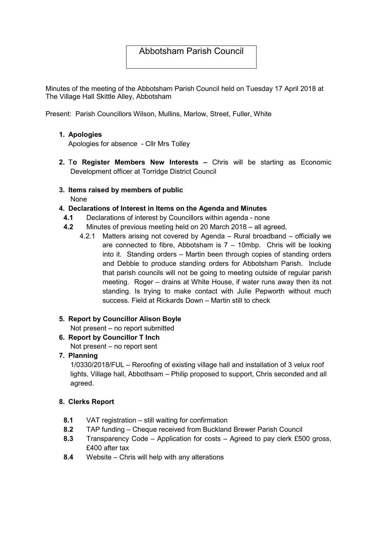# Abbotsham Parish Council

Minutes of the meeting of the Abbotsham Parish Council held on Tuesday 17 April 2018 at The Village Hall Skittle Alley, Abbotsham

Present: Parish Councillors Wilson, Mullins, Marlow, Street, Fuller, White

## 1. Apologies

Apologies for absence - Cllr Mrs Tolley

- 2. To Register Members New Interests Chris will be starting as Economic Development officer at Torridge District Council
- 3. Items raised by members of public None

## 4. Declarations of Interest in Items on the Agenda and Minutes

- 4.1 Declarations of interest by Councillors within agenda none
- 4.2 Minutes of previous meeting held on 20 March 2018 all agreed,
	- 4.2.1 Matters arising not covered by Agenda Rural broadband officially we are connected to fibre, Abbotsham is  $7 - 10$ mbp. Chris will be looking into it. Standing orders – Martin been through copies of standing orders and Debbie to produce standing orders for Abbotsham Parish. Include that parish councils will not be going to meeting outside of regular parish meeting. Roger – drains at White House, if water runs away then its not standing. Is trying to make contact with Julie Pepworth without much success. Field at Rickards Down – Martin still to check

#### 5. Report by Councillor Alison Boyle

Not present – no report submitted

6. Report by Councillor T Inch

Not present – no report sent

## 7. Planning

1/0330/2018/FUL – Reroofing of existing village hall and installation of 3 velux roof lights, Village hall, Abbothsam – Philip proposed to support, Chris seconded and all agreed.

#### 8. Clerks Report

- 8.1 VAT registration still waiting for confirmation
- 8.2 TAP funding Cheque received from Buckland Brewer Parish Council
- 8.3 Transparency Code Application for costs Agreed to pay clerk £500 gross, £400 after tax
- 8.4 Website Chris will help with any alterations